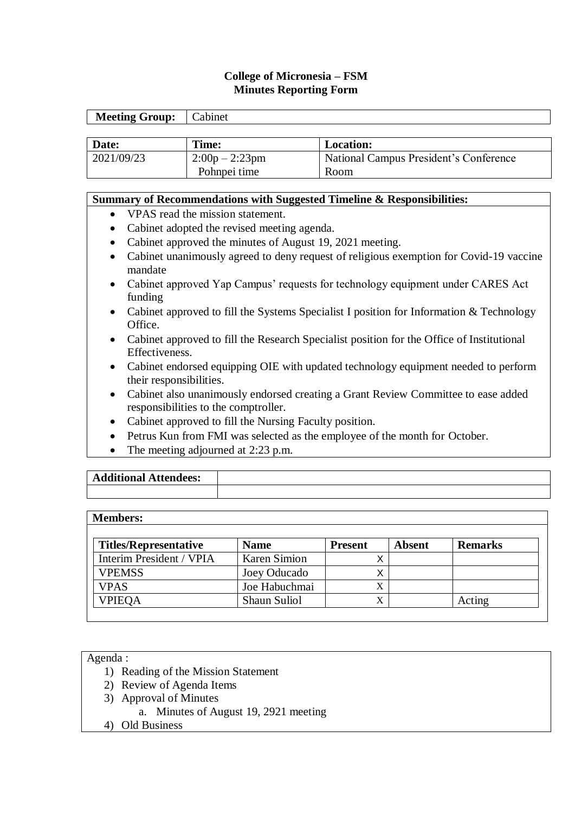# **College of Micronesia – FSM Minutes Reporting Form**

| <b>Meeting Group:</b> | Cabinet          |                                        |
|-----------------------|------------------|----------------------------------------|
|                       |                  |                                        |
| Date:                 | Time:            | <b>Location:</b>                       |
| 2021/09/23            | $2:00p - 2:23pm$ | National Campus President's Conference |
|                       | Pohnpei time     | Room                                   |

### **Summary of Recommendations with Suggested Timeline & Responsibilities:**

- VPAS read the mission statement.
- Cabinet adopted the revised meeting agenda.
- Cabinet approved the minutes of August 19, 2021 meeting.
- Cabinet unanimously agreed to deny request of religious exemption for Covid-19 vaccine mandate
- Cabinet approved Yap Campus' requests for technology equipment under CARES Act funding
- Cabinet approved to fill the Systems Specialist I position for Information & Technology Office.
- Cabinet approved to fill the Research Specialist position for the Office of Institutional Effectiveness.
- Cabinet endorsed equipping OIE with updated technology equipment needed to perform their responsibilities.
- Cabinet also unanimously endorsed creating a Grant Review Committee to ease added responsibilities to the comptroller.
- Cabinet approved to fill the Nursing Faculty position.
- Petrus Kun from FMI was selected as the employee of the month for October.
- The meeting adjourned at 2:23 p.m.

| <b>Additional Attendees:</b> |  |
|------------------------------|--|
|                              |  |

#### **Members:**

| <b>Titles/Representative</b> | <b>Name</b>         | <b>Present</b> | Absent | <b>Remarks</b> |
|------------------------------|---------------------|----------------|--------|----------------|
| Interim President / VPIA     | <b>Karen Simion</b> |                |        |                |
| <b>VPEMSS</b>                | Joey Oducado        |                |        |                |
| <b>VPAS</b>                  | Joe Habuchmai       |                |        |                |
| <b>VPIEQA</b>                | Shaun Suliol        |                |        | Acting         |

#### Agenda :

- 1) Reading of the Mission Statement
- 2) Review of Agenda Items
- 3) Approval of Minutes
	- a. Minutes of August 19, 2921 meeting
- 4) Old Business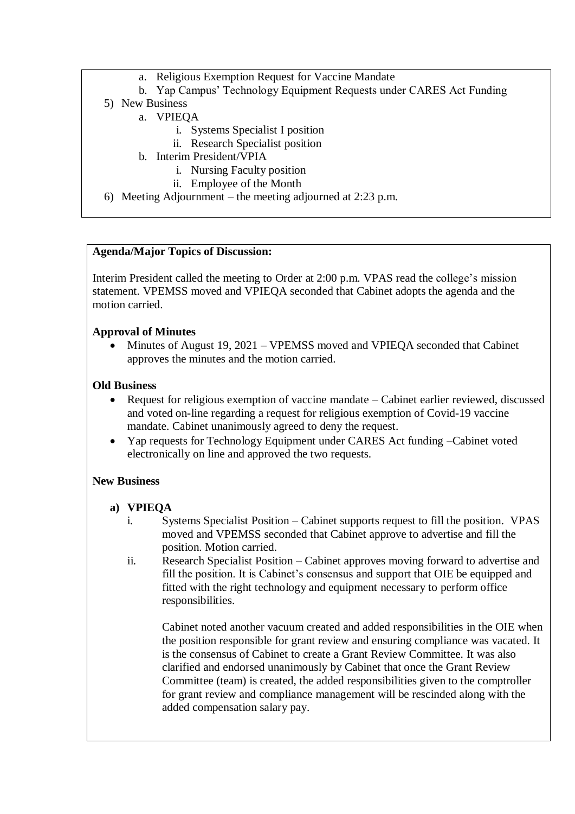- a. Religious Exemption Request for Vaccine Mandate
- b. Yap Campus' Technology Equipment Requests under CARES Act Funding
- 5) New Business
	- a. VPIEQA
		- i. Systems Specialist I position
		- ii. Research Specialist position
	- b. Interim President/VPIA
		- i. Nursing Faculty position
		- ii. Employee of the Month
- 6) Meeting Adjournment the meeting adjourned at 2:23 p.m.

# **Agenda/Major Topics of Discussion:**

Interim President called the meeting to Order at 2:00 p.m. VPAS read the college's mission statement. VPEMSS moved and VPIEQA seconded that Cabinet adopts the agenda and the motion carried.

## **Approval of Minutes**

 Minutes of August 19, 2021 – VPEMSS moved and VPIEQA seconded that Cabinet approves the minutes and the motion carried.

### **Old Business**

- Request for religious exemption of vaccine mandate Cabinet earlier reviewed, discussed and voted on-line regarding a request for religious exemption of Covid-19 vaccine mandate. Cabinet unanimously agreed to deny the request.
- Yap requests for Technology Equipment under CARES Act funding –Cabinet voted electronically on line and approved the two requests.

### **New Business**

### **a) VPIEQA**

- i. Systems Specialist Position Cabinet supports request to fill the position. VPAS moved and VPEMSS seconded that Cabinet approve to advertise and fill the position. Motion carried.
- ii. Research Specialist Position Cabinet approves moving forward to advertise and fill the position. It is Cabinet's consensus and support that OIE be equipped and fitted with the right technology and equipment necessary to perform office responsibilities.

Cabinet noted another vacuum created and added responsibilities in the OIE when the position responsible for grant review and ensuring compliance was vacated. It is the consensus of Cabinet to create a Grant Review Committee. It was also clarified and endorsed unanimously by Cabinet that once the Grant Review Committee (team) is created, the added responsibilities given to the comptroller for grant review and compliance management will be rescinded along with the added compensation salary pay.